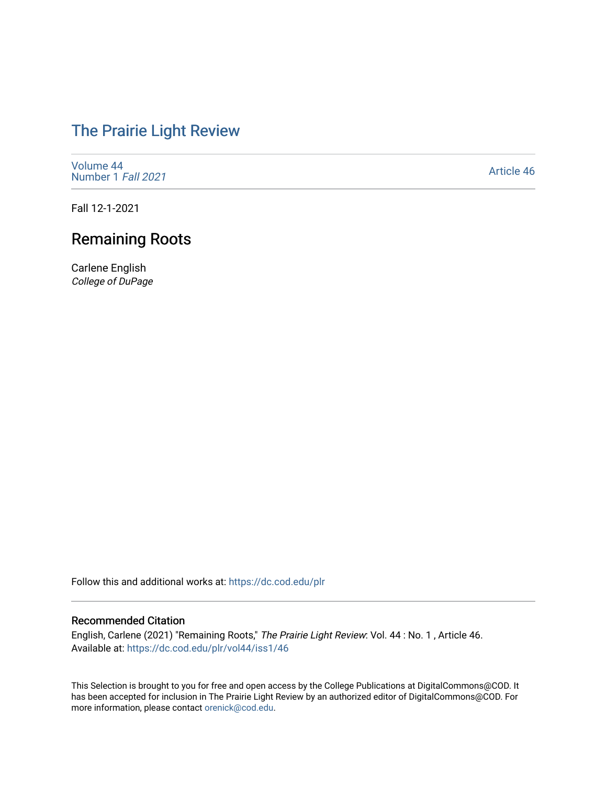## [The Prairie Light Review](https://dc.cod.edu/plr)

[Volume 44](https://dc.cod.edu/plr/vol44) [Number 1](https://dc.cod.edu/plr/vol44/iss1) Fall 2021

[Article 46](https://dc.cod.edu/plr/vol44/iss1/46) 

Fall 12-1-2021

## Remaining Roots

Carlene English College of DuPage

Follow this and additional works at: [https://dc.cod.edu/plr](https://dc.cod.edu/plr?utm_source=dc.cod.edu%2Fplr%2Fvol44%2Fiss1%2F46&utm_medium=PDF&utm_campaign=PDFCoverPages) 

## Recommended Citation

English, Carlene (2021) "Remaining Roots," The Prairie Light Review: Vol. 44 : No. 1 , Article 46. Available at: [https://dc.cod.edu/plr/vol44/iss1/46](https://dc.cod.edu/plr/vol44/iss1/46?utm_source=dc.cod.edu%2Fplr%2Fvol44%2Fiss1%2F46&utm_medium=PDF&utm_campaign=PDFCoverPages)

This Selection is brought to you for free and open access by the College Publications at DigitalCommons@COD. It has been accepted for inclusion in The Prairie Light Review by an authorized editor of DigitalCommons@COD. For more information, please contact [orenick@cod.edu.](mailto:orenick@cod.edu)